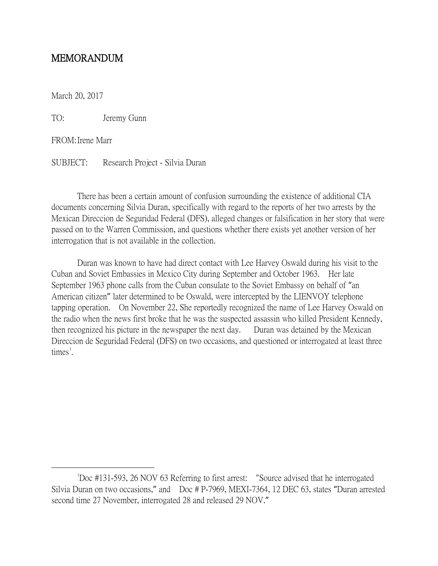# MEMORANDUM

March 20, 2017

TO: Jeremy Gunn

FROM:Irene Marr

SUBJECT: Research Project - Silvia Duran

There has been a certain amount of confusion surrounding the existence of additional CIA documents concerning Silvia Duran, specifically with regard to the reports of her two arrests by the Mexican Direccion de Seguridad Federal (DFS), alleged changes or falsification in her story that were passed on to the Warren Commission, and questions whether there exists yet another version of her interrogation that is not available in the collection.

Duran was known to have had direct contact with Lee Harvey Oswald during his visit to the Cuban and Soviet Embassies in Mexico City during September and October 1963. Her late September 1963 phone calls from the Cuban consulate to the Soviet Embassy on behalf of "an American citizen" later determined to be Oswald, were intercepted by the LIENVOY telephone tapping operation. On November 22, She reportedly recognized the name of Lee Harvey Oswald on the radio when the news first broke that he was the suspected assassin who killed President Kennedy, then recognized his picture in the newspaper the next day. Duran was detained by the Mexican Direccion de Seguridad Federal (DFS) on two occasions, and questioned or interrogated at least three times<sup>[1](#page-0-0)</sup>.

<span id="page-0-0"></span> $\overline{\phantom{a}}$ Doc #131-593, 26 NOV 63 Referring to first arrest: "Source advised that he interrogated Silvia Duran on two occasions," and Doc # P-7969, MEXI-7364, 12 DEC 63, states "Duran arrested second time 27 November, interrogated 28 and released 29 NOV."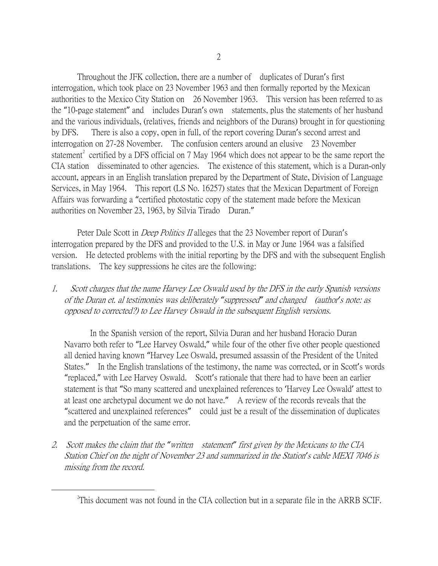Throughout the JFK collection, there are a number of duplicates of Duran's first interrogation, which took place on 23 November 1963 and then formally reported by the Mexican authorities to the Mexico City Station on 26 November 1963. This version has been referred to as the "10-page statement" and includes Duran's own statements, plus the statements of her husband and the various individuals, (relatives, friends and neighbors of the Durans) brought in for questioning by DFS. There is also a copy, open in full, of the report covering Duran's second arrest and interrogation on 27-28 November. The confusion centers around an elusive 23 November statement<sup>[2](#page-1-0)</sup> certified by a DFS official on 7 May 1964 which does not appear to be the same report the CIA station disseminated to other agencies. The existence of this statement, which is a Duran-only account, appears in an English translation prepared by the Department of State, Division of Language Services, in May 1964. This report (LS No. 16257) states that the Mexican Department of Foreign Affairs was forwarding a "certified photostatic copy of the statement made before the Mexican authorities on November 23, 1963, by Silvia Tirado Duran."

Peter Dale Scott in *Deep Politics II* alleges that the 23 November report of Duran's interrogation prepared by the DFS and provided to the U.S. in May or June 1964 was a falsified version. He detected problems with the initial reporting by the DFS and with the subsequent English translations. The key suppressions he cites are the following:

1. Scott charges that the name Harvey Lee Oswald used by the DFS in the early Spanish versions of the Duran et. al testimonies was deliberately *"*suppressed*"* and changed (author*'*s note: as opposed to corrected?) to Lee Harvey Oswald in the subsequent English versions.

In the Spanish version of the report, Silvia Duran and her husband Horacio Duran Navarro both refer to "Lee Harvey Oswald," while four of the other five other people questioned all denied having known "Harvey Lee Oswald, presumed assassin of the President of the United States." In the English translations of the testimony, the name was corrected, or in Scott's words "replaced," with Lee Harvey Oswald. Scott's rationale that there had to have been an earlier statement is that "So many scattered and unexplained references to 'Harvey Lee Oswald' attest to at least one archetypal document we do not have." A review of the records reveals that the "scattered and unexplained references" could just be a result of the dissemination of duplicates and the perpetuation of the same error.

2. Scott makes the claim that the *"*written statement*"* first given by the Mexicans to the CIA Station Chief on the night of November 23 and summarized in the Station*'*s cable MEXI 7046 is missing from the record.

<span id="page-1-0"></span> $\overline{\phantom{a}}$  2 <sup>2</sup>This document was not found in the CIA collection but in a separate file in the ARRB SCIF.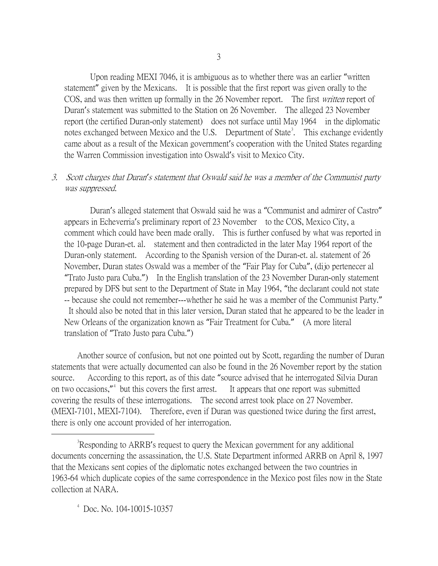Upon reading MEXI 7046, it is ambiguous as to whether there was an earlier "written statement" given by the Mexicans. It is possible that the first report was given orally to the COS, and was then written up formally in the 26 November report. The first *written* report of Duran's statement was submitted to the Station on 26 November. The alleged 23 November report (the certified Duran-only statement) does not surface until May 1964 in the diplomatic notes exchanged between Mexico and the U.S. Department of State<sup>[3](#page-2-0)</sup>. This exchange evidently came about as a result of the Mexican government's cooperation with the United States regarding the Warren Commission investigation into Oswald's visit to Mexico City.

## 3. Scott charges that Duran*'*s statement that Oswald said he was a member of the Communist party was suppressed.

Duran's alleged statement that Oswald said he was a "Communist and admirer of Castro" appears in Echeverria's preliminary report of 23 November to the COS, Mexico City, a comment which could have been made orally. This is further confused by what was reported in the 10-page Duran-et. al. statement and then contradicted in the later May 1964 report of the Duran-only statement. According to the Spanish version of the Duran-et. al. statement of 26 November, Duran states Oswald was a member of the "Fair Play for Cuba", (dijo pertenecer al "Trato Justo para Cuba.") In the English translation of the 23 November Duran-only statement prepared by DFS but sent to the Department of State in May 1964, "the declarant could not state -- because she could not remember---whether he said he was a member of the Communist Party." It should also be noted that in this later version, Duran stated that he appeared to be the leader in New Orleans of the organization known as "Fair Treatment for Cuba." (A more literal translation of "Trato Justo para Cuba.")

Another source of confusion, but not one pointed out by Scott, regarding the number of Duran statements that were actually documented can also be found in the 26 November report by the station source. According to this report, as of this date "source advised that he interrogated Silvia Duran on two occasions,"<sup>4</sup> but this covers the first arrest. It appears that one report was submitted. covering the results of these interrogations. The second arrest took place on 27 November. (MEXI-7101, MEXI-7104). Therefore, even if Duran was questioned twice during the first arrest, there is only one account provided of her interrogation.

<span id="page-2-0"></span> $\frac{1}{3}$ <sup>3</sup>Responding to ARRB's request to query the Mexican government for any additional documents concerning the assassination, the U.S. State Department informed ARRB on April 8, 1997 that the Mexicans sent copies of the diplomatic notes exchanged between the two countries in 1963-64 which duplicate copies of the same correspondence in the Mexico post files now in the State collection at NARA.

<span id="page-2-1"></span>4 Doc. No. 104-10015-10357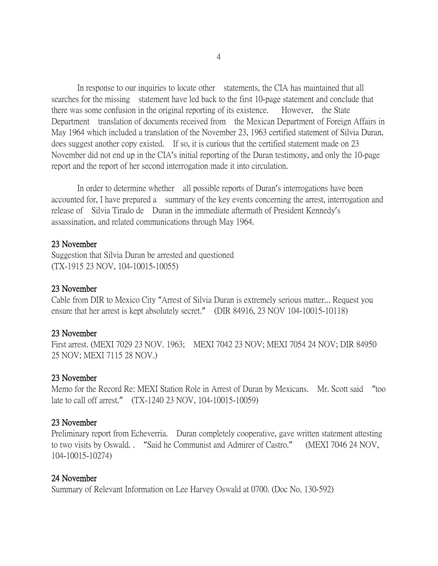In response to our inquiries to locate other statements, the CIA has maintained that all searches for the missing statement have led back to the first 10-page statement and conclude that there was some confusion in the original reporting of its existence. However, the State Department translation of documents received from the Mexican Department of Foreign Affairs in May 1964 which included a translation of the November 23, 1963 certified statement of Silvia Duran, does suggest another copy existed. If so, it is curious that the certified statement made on 23 November did not end up in the CIA's initial reporting of the Duran testimony, and only the 10-page report and the report of her second interrogation made it into circulation.

In order to determine whether all possible reports of Duran's interrogations have been accounted for, I have prepared a summary of the key events concerning the arrest, interrogation and release of Silvia Tirado de Duran in the immediate aftermath of President Kennedy's assassination, and related communications through May 1964.

#### 23 November

Suggestion that Silvia Duran be arrested and questioned (TX-1915 23 NOV, 104-10015-10055)

#### 23 November

Cable from DIR to Mexico City "Arrest of Silvia Duran is extremely serious matter... Request you ensure that her arrest is kept absolutely secret." (DIR 84916, 23 NOV 104-10015-10118)

#### 23 November

First arrest. (MEXI 7029 23 NOV. 1963; MEXI 7042 23 NOV; MEXI 7054 24 NOV; DIR 84950 25 NOV; MEXI 7115 28 NOV.)

#### 23 November

Memo for the Record Re: MEXI Station Role in Arrest of Duran by Mexicans. Mr. Scott said "too late to call off arrest." (TX-1240 23 NOV, 104-10015-10059)

#### 23 November

Preliminary report from Echeverria. Duran completely cooperative, gave written statement attesting to two visits by Oswald. . "Said he Communist and Admirer of Castro." (MEXI 7046 24 NOV, 104-10015-10274)

#### 24 November

Summary of Relevant Information on Lee Harvey Oswald at 0700. (Doc No. 130-592)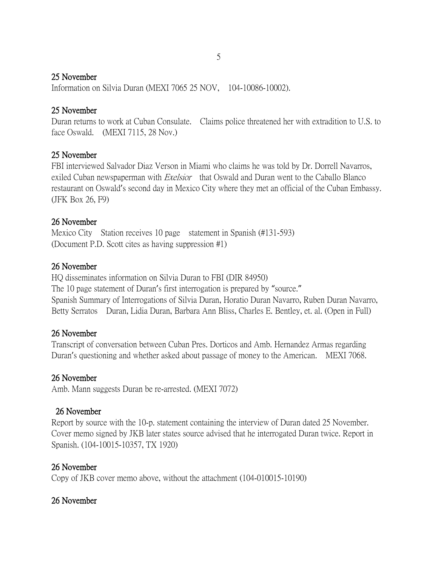## 25 November

Information on Silvia Duran (MEXI 7065 25 NOV, 104-10086-10002).

## 25 November

Duran returns to work at Cuban Consulate. Claims police threatened her with extradition to U.S. to face Oswald. (MEXI 7115, 28 Nov.)

# 25 November

FBI interviewed Salvador Diaz Verson in Miami who claims he was told by Dr. Dorrell Navarros, exiled Cuban newspaperman with *Exelsior* that Oswald and Duran went to the Caballo Blanco restaurant on Oswald's second day in Mexico City where they met an official of the Cuban Embassy. (JFK Box 26, F9)

# 26 November

Mexico City Station receives 10 page statement in Spanish (#131-593) (Document P.D. Scott cites as having suppression #1)

# 26 November

HQ disseminates information on Silvia Duran to FBI (DIR 84950) The 10 page statement of Duran's first interrogation is prepared by "source." Spanish Summary of Interrogations of Silvia Duran, Horatio Duran Navarro, Ruben Duran Navarro, Betty Serratos Duran, Lidia Duran, Barbara Ann Bliss, Charles E. Bentley, et. al. (Open in Full)

# 26 November

Transcript of conversation between Cuban Pres. Dorticos and Amb. Hernandez Armas regarding Duran's questioning and whether asked about passage of money to the American. MEXI 7068.

# 26 November

Amb. Mann suggests Duran be re-arrested. (MEXI 7072)

# 26 November

Report by source with the 10-p. statement containing the interview of Duran dated 25 November. Cover memo signed by JKB later states source advised that he interrogated Duran twice. Report in Spanish. (104-10015-10357, TX 1920)

# 26 November

Copy of JKB cover memo above, without the attachment (104-010015-10190)

# 26 November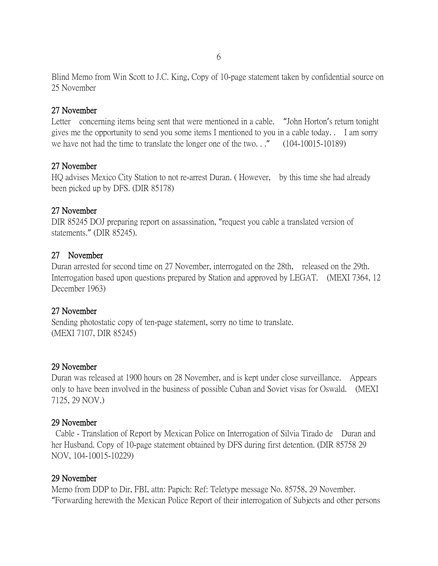Blind Memo from Win Scott to J.C. King, Copy of 10-page statement taken by confidential source on 25 November

### 27 November

Letter concerning items being sent that were mentioned in a cable. "John Horton's return tonight gives me the opportunity to send you some items I mentioned to you in a cable today. . I am sorry we have not had the time to translate the longer one of the two..." (104-10015-10189)

### 27 November

HQ advises Mexico City Station to not re-arrest Duran. ( However, by this time she had already been picked up by DFS. (DIR 85178)

### 27 November

DIR 85245 DOJ preparing report on assassination, "request you cable a translated version of statements." (DIR 85245).

### 27 November

Duran arrested for second time on 27 November, interrogated on the 28th, released on the 29th. Interrogation based upon questions prepared by Station and approved by LEGAT. (MEXI 7364, 12 December 1963)

### 27 November

Sending photostatic copy of ten-page statement, sorry no time to translate. (MEXI 7107, DIR 85245)

### 29 November

Duran was released at 1900 hours on 28 November, and is kept under close surveillance. Appears only to have been involved in the business of possible Cuban and Soviet visas for Oswald. (MEXI 7125, 29 NOV.)

#### 29 November

Cable - Translation of Report by Mexican Police on Interrogation of Silvia Tirado de Duran and her Husband. Copy of 10-page statement obtained by DFS during first detention. (DIR 85758 29 NOV, 104-10015-10229)

### 29 November

Memo from DDP to Dir, FBI, attn: Papich: Ref: Teletype message No. 85758, 29 November. "Forwarding herewith the Mexican Police Report of their interrogation of Subjects and other persons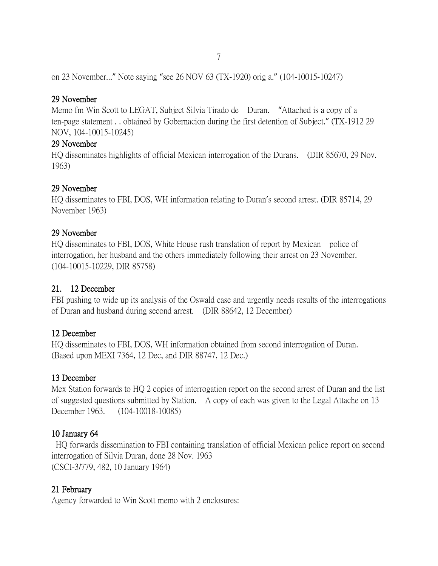on 23 November..." Note saying "see 26 NOV 63 (TX-1920) orig a." (104-10015-10247)

### 29 November

Memo fm Win Scott to LEGAT, Subject Silvia Tirado de Duran. "Attached is a copy of a ten-page statement . . obtained by Gobernacion during the first detention of Subject." (TX-1912 29 NOV, 104-10015-10245)

## 29 November

HQ disseminates highlights of official Mexican interrogation of the Durans. (DIR 85670, 29 Nov. 1963)

### 29 November

HQ disseminates to FBI, DOS, WH information relating to Duran's second arrest. (DIR 85714, 29 November 1963)

## 29 November

HQ disseminates to FBI, DOS, White House rush translation of report by Mexican police of interrogation, her husband and the others immediately following their arrest on 23 November. (104-10015-10229, DIR 85758)

## 21. 12 December

FBI pushing to wide up its analysis of the Oswald case and urgently needs results of the interrogations of Duran and husband during second arrest. (DIR 88642, 12 December)

## 12 December

HQ disseminates to FBI, DOS, WH information obtained from second interrogation of Duran. (Based upon MEXI 7364, 12 Dec, and DIR 88747, 12 Dec.)

## 13 December

Mex Station forwards to HQ 2 copies of interrogation report on the second arrest of Duran and the list of suggested questions submitted by Station. A copy of each was given to the Legal Attache on 13 December 1963. (104-10018-10085)

## 10 January 64

HQ forwards dissemination to FBI containing translation of official Mexican police report on second interrogation of Silvia Duran, done 28 Nov. 1963 (CSCI-3/779, 482, 10 January 1964)

## 21 February

Agency forwarded to Win Scott memo with 2 enclosures: